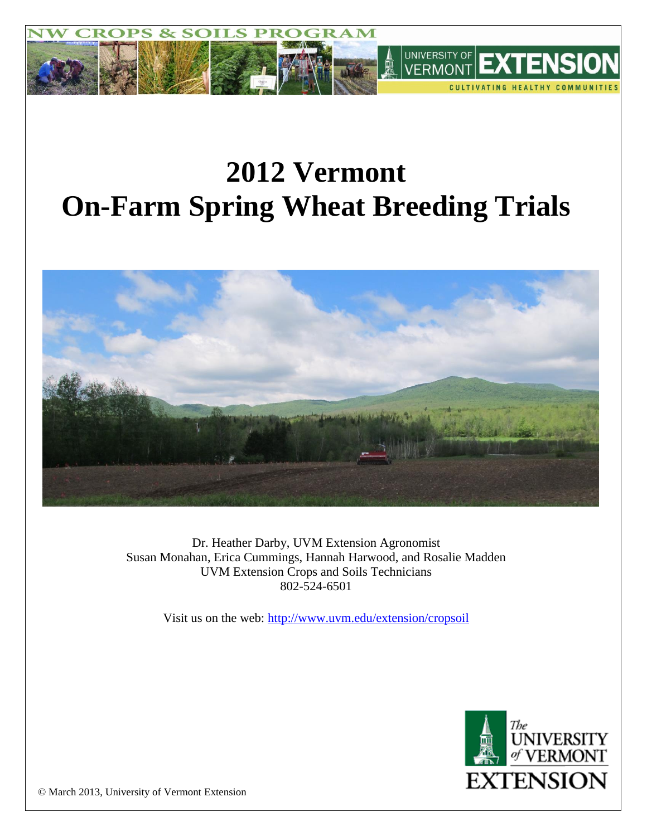

# **2012 Vermont On-Farm Spring Wheat Breeding Trials**



Dr. Heather Darby, UVM Extension Agronomist Susan Monahan, Erica Cummings, Hannah Harwood, and Rosalie Madden UVM Extension Crops and Soils Technicians 802-524-6501

Visit us on the web: <http://www.uvm.edu/extension/cropsoil>



© March 2013, University of Vermont Extension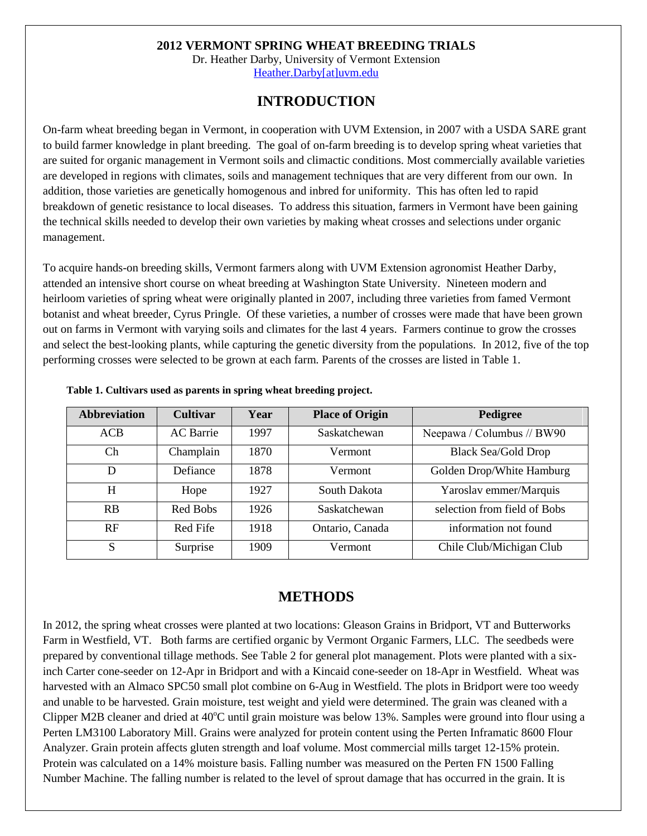#### **2012 VERMONT SPRING WHEAT BREEDING TRIALS**

Dr. Heather Darby, University of Vermont Extension [Heather.Darby\[at\]uvm.edu](mailto:Heather.Darby@uvm.edu)

## **INTRODUCTION**

On-farm wheat breeding began in Vermont, in cooperation with UVM Extension, in 2007 with a USDA SARE grant to build farmer knowledge in plant breeding. The goal of on-farm breeding is to develop spring wheat varieties that are suited for organic management in Vermont soils and climactic conditions. Most commercially available varieties are developed in regions with climates, soils and management techniques that are very different from our own. In addition, those varieties are genetically homogenous and inbred for uniformity. This has often led to rapid breakdown of genetic resistance to local diseases. To address this situation, farmers in Vermont have been gaining the technical skills needed to develop their own varieties by making wheat crosses and selections under organic management.

To acquire hands-on breeding skills, Vermont farmers along with UVM Extension agronomist Heather Darby, attended an intensive short course on wheat breeding at Washington State University. Nineteen modern and heirloom varieties of spring wheat were originally planted in 2007, including three varieties from famed Vermont botanist and wheat breeder, Cyrus Pringle. Of these varieties, a number of crosses were made that have been grown out on farms in Vermont with varying soils and climates for the last 4 years. Farmers continue to grow the crosses and select the best-looking plants, while capturing the genetic diversity from the populations. In 2012, five of the top performing crosses were selected to be grown at each farm. Parents of the crosses are listed in Table 1.

| <b>Abbreviation</b> | <b>Cultivar</b>  | Year | <b>Place of Origin</b> | Pedigree                     |
|---------------------|------------------|------|------------------------|------------------------------|
| <b>ACB</b>          | <b>AC</b> Barrie | 1997 | Saskatchewan           | Neepawa / Columbus // BW90   |
| Ch.                 | Champlain        | 1870 | Vermont                | <b>Black Sea/Gold Drop</b>   |
| D                   | Defiance         | 1878 | Vermont                | Golden Drop/White Hamburg    |
| H                   | Hope             | 1927 | South Dakota           | Yaroslav emmer/Marquis       |
| <b>RB</b>           | Red Bobs         | 1926 | Saskatchewan           | selection from field of Bobs |
| RF                  | Red Fife         | 1918 | Ontario, Canada        | information not found        |
| S                   | Surprise         | 1909 | Vermont                | Chile Club/Michigan Club     |

**Table 1. Cultivars used as parents in spring wheat breeding project.** 

### **METHODS**

In 2012, the spring wheat crosses were planted at two locations: Gleason Grains in Bridport, VT and Butterworks Farm in Westfield, VT. Both farms are certified organic by Vermont Organic Farmers, LLC. The seedbeds were prepared by conventional tillage methods. See Table 2 for general plot management. Plots were planted with a sixinch Carter cone-seeder on 12-Apr in Bridport and with a Kincaid cone-seeder on 18-Apr in Westfield. Wheat was harvested with an Almaco SPC50 small plot combine on 6-Aug in Westfield. The plots in Bridport were too weedy and unable to be harvested. Grain moisture, test weight and yield were determined. The grain was cleaned with a Clipper M2B cleaner and dried at  $40^{\circ}$ C until grain moisture was below 13%. Samples were ground into flour using a Perten LM3100 Laboratory Mill. Grains were analyzed for protein content using the Perten Inframatic 8600 Flour Analyzer. Grain protein affects gluten strength and loaf volume. Most commercial mills target 12-15% protein. Protein was calculated on a 14% moisture basis. Falling number was measured on the Perten FN 1500 Falling Number Machine. The falling number is related to the level of sprout damage that has occurred in the grain. It is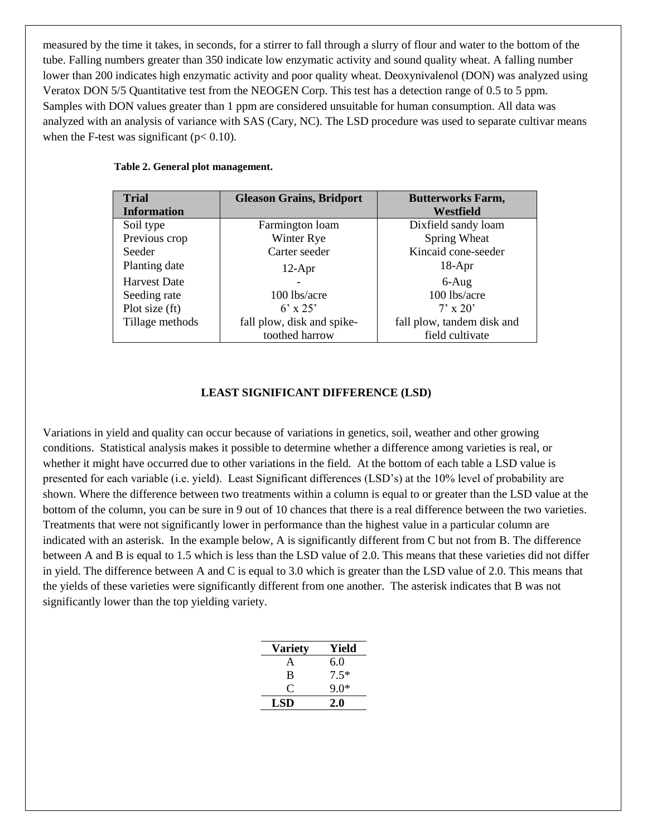measured by the time it takes, in seconds, for a stirrer to fall through a slurry of flour and water to the bottom of the tube. Falling numbers greater than 350 indicate low enzymatic activity and sound quality wheat. A falling number lower than 200 indicates high enzymatic activity and poor quality wheat. Deoxynivalenol (DON) was analyzed using Veratox DON 5/5 Quantitative test from the NEOGEN Corp. This test has a detection range of 0.5 to 5 ppm. Samples with DON values greater than 1 ppm are considered unsuitable for human consumption. All data was analyzed with an analysis of variance with SAS (Cary, NC). The LSD procedure was used to separate cultivar means when the F-test was significant ( $p < 0.10$ ).

| <b>Trial</b>       | <b>Gleason Grains, Bridport</b> | <b>Butterworks Farm,</b>   |  |  |
|--------------------|---------------------------------|----------------------------|--|--|
| <b>Information</b> |                                 | Westfield                  |  |  |
| Soil type          | Farmington loam                 | Dixfield sandy loam        |  |  |
| Previous crop      | Winter Rye                      | Spring Wheat               |  |  |
| Seeder             | Carter seeder                   | Kincaid cone-seeder        |  |  |
| Planting date      | $12-Apr$                        | $18-Apr$                   |  |  |
| Harvest Date       |                                 | $6-Aug$                    |  |  |
| Seeding rate       | 100 lbs/acre                    | 100 lbs/acre               |  |  |
| Plot size (ft)     | $6' \times 25'$                 | $7' \times 20'$            |  |  |
| Tillage methods    | fall plow, disk and spike-      | fall plow, tandem disk and |  |  |
|                    | toothed harrow                  | field cultivate            |  |  |

#### **Table 2. General plot management.**

#### **LEAST SIGNIFICANT DIFFERENCE (LSD)**

Variations in yield and quality can occur because of variations in genetics, soil, weather and other growing conditions. Statistical analysis makes it possible to determine whether a difference among varieties is real, or whether it might have occurred due to other variations in the field. At the bottom of each table a LSD value is presented for each variable (i.e. yield). Least Significant differences (LSD's) at the 10% level of probability are shown. Where the difference between two treatments within a column is equal to or greater than the LSD value at the bottom of the column, you can be sure in 9 out of 10 chances that there is a real difference between the two varieties. Treatments that were not significantly lower in performance than the highest value in a particular column are indicated with an asterisk. In the example below, A is significantly different from C but not from B. The difference between A and B is equal to 1.5 which is less than the LSD value of 2.0. This means that these varieties did not differ in yield. The difference between A and C is equal to 3.0 which is greater than the LSD value of 2.0. This means that the yields of these varieties were significantly different from one another. The asterisk indicates that B was not significantly lower than the top yielding variety.

| <b>Variety</b> | Yield  |
|----------------|--------|
| A              | 6.0    |
| B              | $7.5*$ |
| 0              | $9.0*$ |
| LSD            | 2.0    |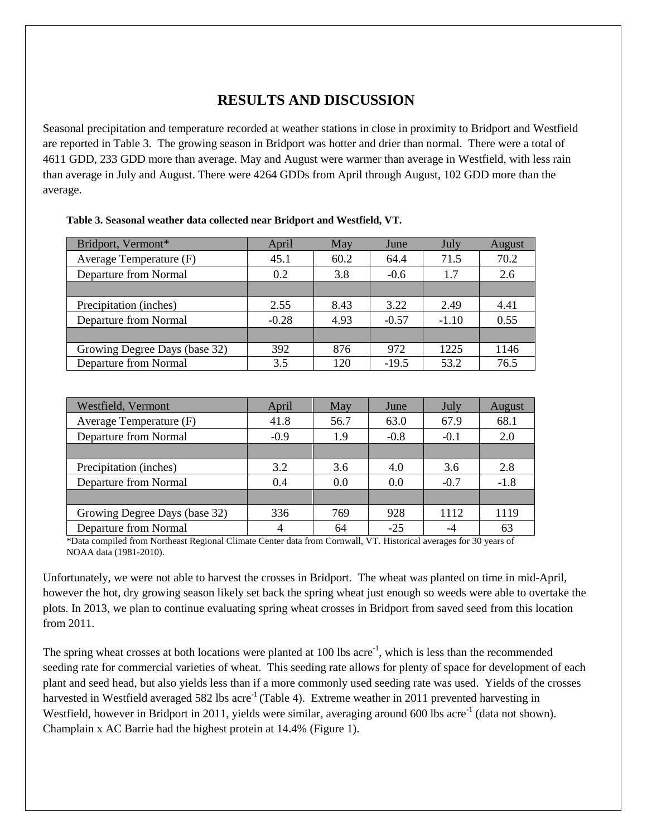# **RESULTS AND DISCUSSION**

Seasonal precipitation and temperature recorded at weather stations in close in proximity to Bridport and Westfield are reported in Table 3. The growing season in Bridport was hotter and drier than normal. There were a total of 4611 GDD, 233 GDD more than average. May and August were warmer than average in Westfield, with less rain than average in July and August. There were 4264 GDDs from April through August, 102 GDD more than the average.

| Bridport, Vermont*            | April   | May  | June    | July    | August |
|-------------------------------|---------|------|---------|---------|--------|
| Average Temperature (F)       | 45.1    | 60.2 | 64.4    | 71.5    | 70.2   |
| Departure from Normal         | 0.2     | 3.8  | $-0.6$  | 1.7     | 2.6    |
|                               |         |      |         |         |        |
| Precipitation (inches)        | 2.55    | 8.43 | 3.22    | 2.49    | 4.41   |
| Departure from Normal         | $-0.28$ | 4.93 | $-0.57$ | $-1.10$ | 0.55   |
|                               |         |      |         |         |        |
| Growing Degree Days (base 32) | 392     | 876  | 972     | 1225    | 1146   |
| Departure from Normal         | 3.5     | 120  | $-19.5$ | 53.2    | 76.5   |

| Table 3. Seasonal weather data collected near Bridport and Westfield, VT. |  |  |  |  |  |
|---------------------------------------------------------------------------|--|--|--|--|--|
|---------------------------------------------------------------------------|--|--|--|--|--|

| Westfield, Vermont            | April  | May  | June   | July   | August |
|-------------------------------|--------|------|--------|--------|--------|
| Average Temperature (F)       | 41.8   | 56.7 | 63.0   | 67.9   | 68.1   |
| Departure from Normal         | $-0.9$ | 1.9  | $-0.8$ | $-0.1$ | 2.0    |
|                               |        |      |        |        |        |
| Precipitation (inches)        | 3.2    | 3.6  | 4.0    | 3.6    | 2.8    |
| Departure from Normal         | 0.4    | 0.0  | 0.0    | $-0.7$ | $-1.8$ |
|                               |        |      |        |        |        |
| Growing Degree Days (base 32) | 336    | 769  | 928    | 1112   | 1119   |
| Departure from Normal         |        | 64   | $-25$  |        | 63     |

\*Data compiled from Northeast Regional Climate Center data from Cornwall, VT. Historical averages for 30 years of NOAA data (1981-2010).

Unfortunately, we were not able to harvest the crosses in Bridport. The wheat was planted on time in mid-April, however the hot, dry growing season likely set back the spring wheat just enough so weeds were able to overtake the plots. In 2013, we plan to continue evaluating spring wheat crosses in Bridport from saved seed from this location from 2011.

The spring wheat crosses at both locations were planted at 100 lbs acre<sup>-1</sup>, which is less than the recommended seeding rate for commercial varieties of wheat. This seeding rate allows for plenty of space for development of each plant and seed head, but also yields less than if a more commonly used seeding rate was used. Yields of the crosses harvested in Westfield averaged 582 lbs acre<sup>-1</sup> (Table 4). Extreme weather in 2011 prevented harvesting in Westfield, however in Bridport in 2011, yields were similar, averaging around 600 lbs acre<sup>-1</sup> (data not shown). Champlain x AC Barrie had the highest protein at 14.4% (Figure 1).